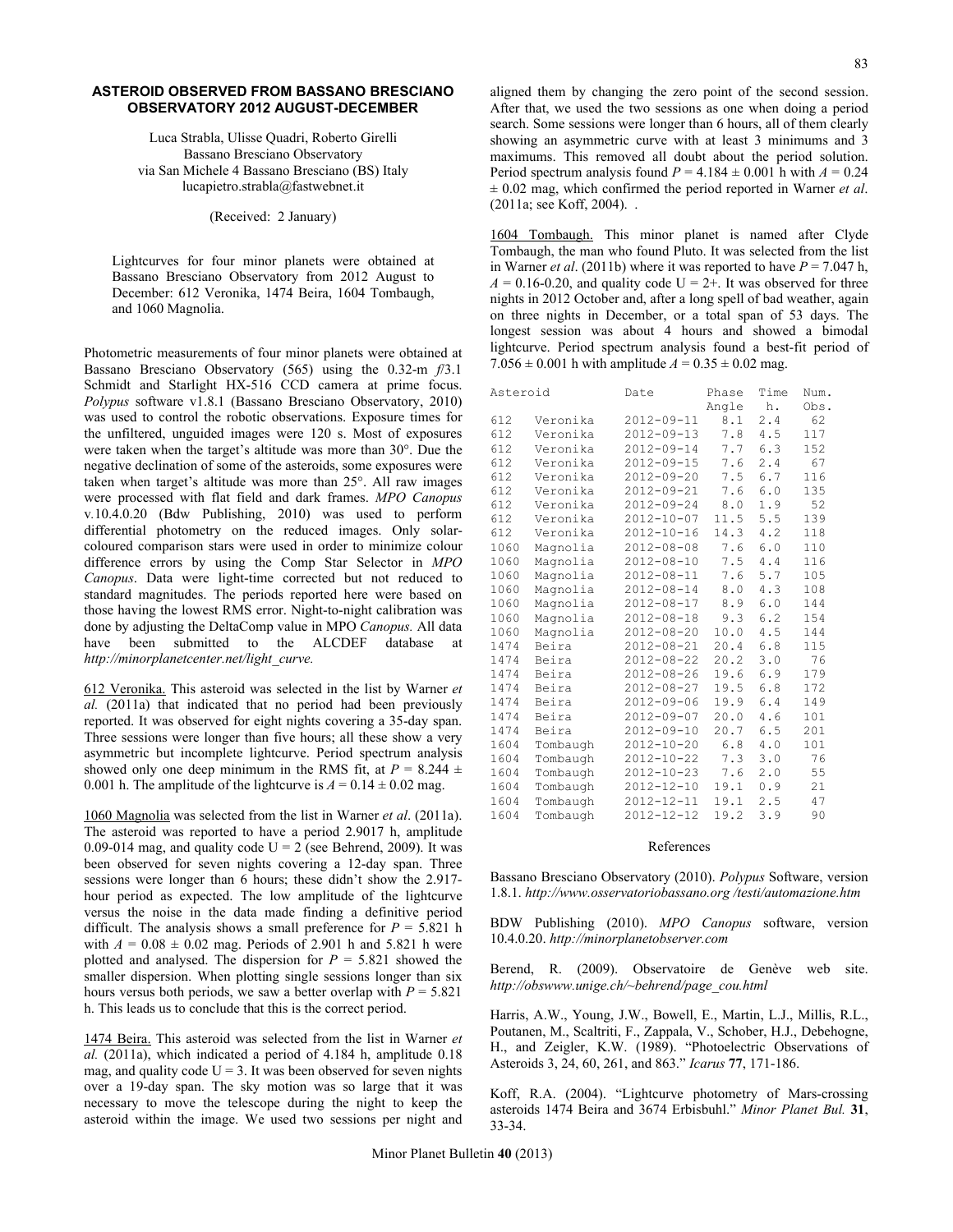## **ASTEROID OBSERVED FROM BASSANO BRESCIANO OBSERVATORY 2012 AUGUST-DECEMBER**

Luca Strabla, Ulisse Quadri, Roberto Girelli Bassano Bresciano Observatory via San Michele 4 Bassano Bresciano (BS) Italy lucapietro.strabla@fastwebnet.it

(Received: 2 January)

Lightcurves for four minor planets were obtained at Bassano Bresciano Observatory from 2012 August to December: 612 Veronika, 1474 Beira, 1604 Tombaugh, and 1060 Magnolia.

Photometric measurements of four minor planets were obtained at Bassano Bresciano Observatory (565) using the 0.32-m *f*/3.1 Schmidt and Starlight HX-516 CCD camera at prime focus. *Polypus* software v1.8.1 (Bassano Bresciano Observatory, 2010) was used to control the robotic observations. Exposure times for the unfiltered, unguided images were 120 s. Most of exposures were taken when the target's altitude was more than 30°. Due the negative declination of some of the asteroids, some exposures were taken when target's altitude was more than 25°. All raw images were processed with flat field and dark frames. *MPO Canopus*  v*.*10.4.0.20 (Bdw Publishing, 2010) was used to perform differential photometry on the reduced images. Only solarcoloured comparison stars were used in order to minimize colour difference errors by using the Comp Star Selector in *MPO Canopus*. Data were light-time corrected but not reduced to standard magnitudes. The periods reported here were based on those having the lowest RMS error. Night-to-night calibration was done by adjusting the DeltaComp value in MPO *Canopus.* All data have been submitted to the ALCDEF database at *http://minorplanetcenter.net/light\_curve.*

612 Veronika. This asteroid was selected in the list by Warner *et al.* (2011a) that indicated that no period had been previously reported. It was observed for eight nights covering a 35-day span. Three sessions were longer than five hours; all these show a very asymmetric but incomplete lightcurve. Period spectrum analysis showed only one deep minimum in the RMS fit, at  $P = 8.244 \pm 1.5$ 0.001 h. The amplitude of the lightcurve is  $A = 0.14 \pm 0.02$  mag.

1060 Magnolia was selected from the list in Warner *et al*. (2011a). The asteroid was reported to have a period 2.9017 h, amplitude 0.09-014 mag, and quality code  $U = 2$  (see Behrend, 2009). It was been observed for seven nights covering a 12-day span. Three sessions were longer than 6 hours; these didn't show the 2.917 hour period as expected. The low amplitude of the lightcurve versus the noise in the data made finding a definitive period difficult. The analysis shows a small preference for  $P = 5.821$  h with  $A = 0.08 \pm 0.02$  mag. Periods of 2.901 h and 5.821 h were plotted and analysed. The dispersion for  $P = 5.821$  showed the smaller dispersion. When plotting single sessions longer than six hours versus both periods, we saw a better overlap with  $P = 5.821$ h. This leads us to conclude that this is the correct period.

1474 Beira. This asteroid was selected from the list in Warner *et al.* (2011a), which indicated a period of 4.184 h, amplitude 0.18 mag, and quality code  $U = 3$ . It was been observed for seven nights over a 19-day span. The sky motion was so large that it was necessary to move the telescope during the night to keep the asteroid within the image. We used two sessions per night and

aligned them by changing the zero point of the second session. After that, we used the two sessions as one when doing a period search. Some sessions were longer than 6 hours, all of them clearly showing an asymmetric curve with at least 3 minimums and 3 maximums. This removed all doubt about the period solution. Period spectrum analysis found  $P = 4.184 \pm 0.001$  h with  $A = 0.24$ ± 0.02 mag, which confirmed the period reported in Warner *et al*. (2011a; see Koff, 2004). .

1604 Tombaugh. This minor planet is named after Clyde Tombaugh, the man who found Pluto. It was selected from the list in Warner *et al.* (2011b) where it was reported to have  $P = 7.047$  h,  $A = 0.16 - 0.20$ , and quality code  $U = 2 +$ . It was observed for three nights in 2012 October and, after a long spell of bad weather, again on three nights in December, or a total span of 53 days. The longest session was about 4 hours and showed a bimodal lightcurve. Period spectrum analysis found a best-fit period of 7.056  $\pm$  0.001 h with amplitude  $A = 0.35 \pm 0.02$  mag.

| Asteroid |          | Date             | Phase | Time | Num. |
|----------|----------|------------------|-------|------|------|
|          |          |                  | Angle | h.   | Obs. |
| 612      | Veronika | $2012 - 09 - 11$ | 8.1   | 2.4  | 62   |
| 612      | Veronika | $2012 - 09 - 13$ | 7.8   | 4.5  | 117  |
| 612      | Veronika | $2012 - 09 - 14$ | 7.7   | 6.3  | 152  |
| 612      | Veronika | $2012 - 09 - 15$ | 7.6   | 2.4  | 67   |
| 612      | Veronika | 2012-09-20       | 7.5   | 6.7  | 116  |
| 612      | Veronika | $2012 - 09 - 21$ | 7.6   | 6.0  | 135  |
| 612      | Veronika | $2012 - 09 - 24$ | 8.0   | 1.9  | 52   |
| 612      | Veronika | $2012 - 10 - 07$ | 11.5  | 5.5  | 139  |
| 612      | Veronika | $2012 - 10 - 16$ | 14.3  | 4.2  | 118  |
| 1060     | Magnolia | $2012 - 08 - 08$ | 7.6   | 6.0  | 110  |
| 1060     | Magnolia | $2012 - 08 - 10$ | 7.5   | 4.4  | 116  |
| 1060     | Magnolia | $2012 - 08 - 11$ | 7.6   | 5.7  | 105  |
| 1060     | Magnolia | 2012-08-14       | 8.0   | 4.3  | 108  |
| 1060     | Magnolia | $2012 - 08 - 17$ | 8.9   | 6.0  | 144  |
| 1060     | Magnolia | $2012 - 08 - 18$ | 9.3   | 6.2  | 154  |
| 1060     | Magnolia | $2012 - 08 - 20$ | 10.0  | 4.5  | 144  |
| 1474     | Beira    | $2012 - 08 - 21$ | 20.4  | 6.8  | 115  |
| 1474     | Beira    | 2012-08-22       | 20.2  | 3.0  | 76   |
| 1474     | Beira    | $2012 - 08 - 26$ | 19.6  | 6.9  | 179  |
| 1474     | Beira    | 2012-08-27       | 19.5  | 6.8  | 172  |
| 1474     | Beira    | $2012 - 09 - 06$ | 19.9  | 6.4  | 149  |
| 1474     | Beira    | $2012 - 09 - 07$ | 20.0  | 4.6  | 101  |
| 1474     | Beira    | 2012-09-10       | 20.7  | 6.5  | 201  |
| 1604     | Tombaugh | $2012 - 10 - 20$ | 6.8   | 4.0  | 101  |
| 1604     | Tombaugh | 2012-10-22       | 7.3   | 3.0  | 76   |
| 1604     | Tombaugh | 2012-10-23       | 7.6   | 2.0  | 55   |
| 1604     | Tombaugh | 2012-12-10       | 19.1  | 0.9  | 21   |
| 1604     | Tombaugh | 2012-12-11       | 19.1  | 2.5  | 47   |
| 1604     | Tombaugh | 2012-12-12       | 19.2  | 3.9  | 90   |

## References

Bassano Bresciano Observatory (2010). *Polypus* Software, version 1.8.1. *http://www.osservatoriobassano.org /testi/automazione.htm*

BDW Publishing (2010). *MPO Canopus* software, version 10.4.0.20. *http://minorplanetobserver.com* 

Berend, R. (2009). Observatoire de Genève web site. *http://obswww.unige.ch/~behrend/page\_cou.html*

Harris, A.W., Young, J.W., Bowell, E., Martin, L.J., Millis, R.L., Poutanen, M., Scaltriti, F., Zappala, V., Schober, H.J., Debehogne, H., and Zeigler, K.W. (1989). "Photoelectric Observations of Asteroids 3, 24, 60, 261, and 863." *Icarus* **77**, 171-186.

Koff, R.A. (2004). "Lightcurve photometry of Mars-crossing asteroids 1474 Beira and 3674 Erbisbuhl." *Minor Planet Bul.* **31**, 33-34.

Minor Planet Bulletin **40** (2013)